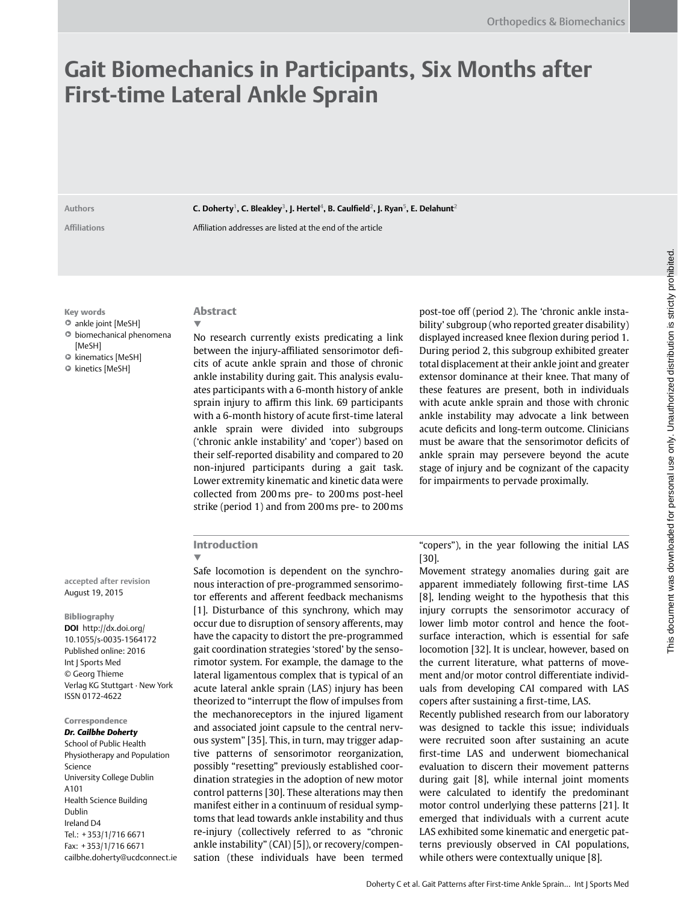# **Gait Biomechanics in Participants, Six Months after First-time Lateral Ankle Sprain**

**Authors C. Doherty1, C. Bleakley3, J. Hertel4, B. Caulfield2, J. Ryan5, E. Delahunt2**

**Affiliations** Affiliation addresses are listed at the end of the article

Key words

- ankle joint [MeSH]
- $\bullet$  biomechanical phenomena
- [MeSH]
- kinematics [MeSH]
- kinetics [MeSH]

# ▼

Abstract

No research currently exists predicating a link between the injury-affiliated sensorimotor deficits of acute ankle sprain and those of chronic ankle instability during gait. This analysis evaluates participants with a 6-month history of ankle sprain injury to affirm this link. 69 participants with a 6-month history of acute first-time lateral ankle sprain were divided into subgroups ('chronic ankle instability' and 'coper') based on their self-reported disability and compared to 20 non-injured participants during a gait task. Lower extremity kinematic and kinetic data were collected from 200ms pre- to 200ms post-heel strike (period 1) and from 200ms pre- to 200ms

post-toe off (period 2). The 'chronic ankle instability' subgroup (who reported greater disability) displayed increased knee flexion during period 1. During period 2, this subgroup exhibited greater total displacement at their ankle joint and greater extensor dominance at their knee. That many of these features are present, both in individuals with acute ankle sprain and those with chronic ankle instability may advocate a link between acute deficits and long-term outcome. Clinicians must be aware that the sensorimotor deficits of ankle sprain may persevere beyond the acute stage of injury and be cognizant of the capacity for impairments to pervade proximally.

## Introduction

**accepted after revision**  August 19, 2015

Bibliography **DOI** [http://dx.doi.org/](http://dx.doi.org/  10.1055/s-0035-1564172  ) [10.1055/s-0035-1564172](http://dx.doi.org/  10.1055/s-0035-1564172  ) Published online: 2016 Int J Sports Med © Georg Thieme Verlag KG Stuttgart · New York ISSN 0172-4622

#### Correspondence *Dr. Cailbhe Doherty*

School of Public Health Physiotherapy and Population Science University College Dublin A101 Health Science Building Dublin Ireland D4 Tel.: +353/1/716 6671 Fax: +353/1/716 6671 [cailbhe.doherty@ucdconnect.ie](mailto:cailbhe.doherty@ucdconnect.ie)

▼ Safe locomotion is dependent on the synchronous interaction of pre-programmed sensorimotor efferents and afferent feedback mechanisms [1]. Disturbance of this synchrony, which may occur due to disruption of sensory afferents, may have the capacity to distort the pre-programmed gait coordination strategies 'stored' by the sensorimotor system. For example, the damage to the lateral ligamentous complex that is typical of an acute lateral ankle sprain (LAS) injury has been theorized to "interrupt the flow of impulses from the mechanoreceptors in the injured ligament and associated joint capsule to the central nervous system" [35]. This, in turn, may trigger adaptive patterns of sensorimotor reorganization, possibly "resetting" previously established coordination strategies in the adoption of new motor control patterns [30]. These alterations may then manifest either in a continuum of residual symptoms that lead towards ankle instability and thus re-injury (collectively referred to as "chronic ankle instability" (CAI) [5]), or recovery/compensation (these individuals have been termed

"copers"), in the year following the initial LAS [30].

Movement strategy anomalies during gait are apparent immediately following first-time LAS [8], lending weight to the hypothesis that this injury corrupts the sensorimotor accuracy of lower limb motor control and hence the footsurface interaction, which is essential for safe locomotion [32]. It is unclear, however, based on the current literature, what patterns of movement and/or motor control differentiate individuals from developing CAI compared with LAS copers after sustaining a first-time, LAS.

Recently published research from our laboratory was designed to tackle this issue; individuals were recruited soon after sustaining an acute first-time LAS and underwent biomechanical evaluation to discern their movement patterns during gait [8], while internal joint moments were calculated to identify the predominant motor control underlying these patterns [21]. It emerged that individuals with a current acute LAS exhibited some kinematic and energetic patterns previously observed in CAI populations, while others were contextually unique [8].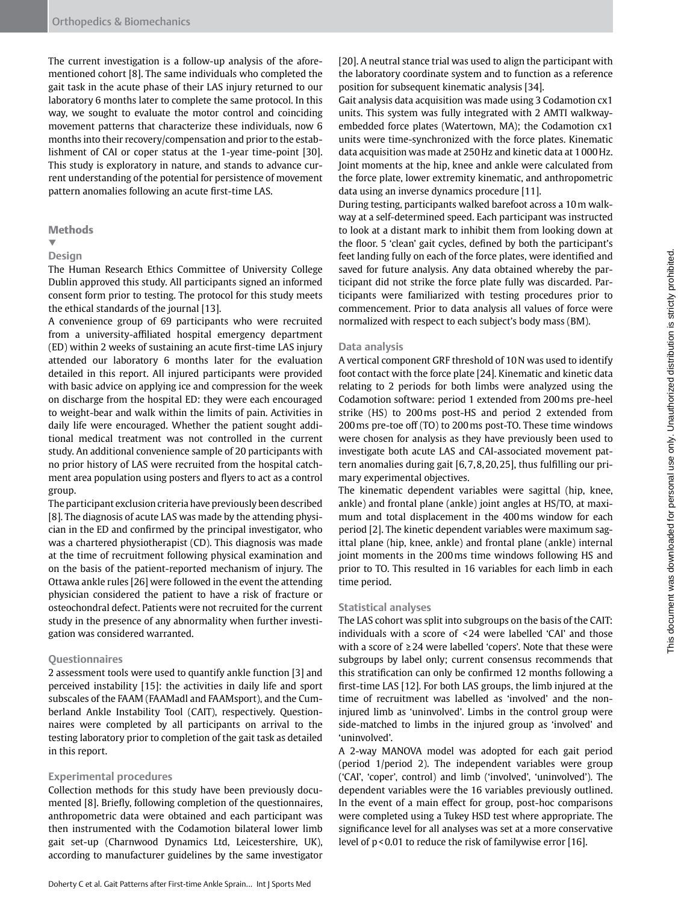The current investigation is a follow-up analysis of the aforementioned cohort [8]. The same individuals who completed the gait task in the acute phase of their LAS injury returned to our laboratory 6 months later to complete the same protocol. In this way, we sought to evaluate the motor control and coinciding movement patterns that characterize these individuals, now 6 months into their recovery/compensation and prior to the establishment of CAI or coper status at the 1-year time-point [30]. This study is exploratory in nature, and stands to advance current understanding of the potential for persistence of movement pattern anomalies following an acute first-time LAS.

#### **Methods**

#### ▼ **Design**

The Human Research Ethics Committee of University College Dublin approved this study. All participants signed an informed consent form prior to testing. The protocol for this study meets the ethical standards of the journal [13].

A convenience group of 69 participants who were recruited from a university-affiliated hospital emergency department (ED) within 2 weeks of sustaining an acute first-time LAS injury attended our laboratory 6 months later for the evaluation detailed in this report. All injured participants were provided with basic advice on applying ice and compression for the week on discharge from the hospital ED: they were each encouraged to weight-bear and walk within the limits of pain. Activities in daily life were encouraged. Whether the patient sought additional medical treatment was not controlled in the current study. An additional convenience sample of 20 participants with no prior history of LAS were recruited from the hospital catchment area population using posters and flyers to act as a control group.

The participant exclusion criteria have previously been described [8]. The diagnosis of acute LAS was made by the attending physician in the ED and confirmed by the principal investigator, who was a chartered physiotherapist (CD). This diagnosis was made at the time of recruitment following physical examination and on the basis of the patient-reported mechanism of injury. The Ottawa ankle rules [26] were followed in the event the attending physician considered the patient to have a risk of fracture or osteochondral defect. Patients were not recruited for the current study in the presence of any abnormality when further investigation was considered warranted.

#### **Questionnaires**

2 assessment tools were used to quantify ankle function [3] and perceived instability [15]: the activities in daily life and sport subscales of the FAAM (FAAMadl and FAAMsport), and the Cumberland Ankle Instability Tool (CAIT), respectively. Questionnaires were completed by all participants on arrival to the testing laboratory prior to completion of the gait task as detailed in this report.

#### **Experimental procedures**

Collection methods for this study have been previously documented [8]. Briefly, following completion of the questionnaires, anthropometric data were obtained and each participant was then instrumented with the Codamotion bilateral lower limb gait set-up (Charnwood Dynamics Ltd, Leicestershire, UK), according to manufacturer guidelines by the same investigator [20]. A neutral stance trial was used to align the participant with the laboratory coordinate system and to function as a reference position for subsequent kinematic analysis [34].

Gait analysis data acquisition was made using 3 Codamotion cx1 units. This system was fully integrated with 2 AMTI walkwayembedded force plates (Watertown, MA); the Codamotion cx1 units were time-synchronized with the force plates. Kinematic data acquisition was made at 250Hz and kinetic data at 1000Hz. Joint moments at the hip, knee and ankle were calculated from the force plate, lower extremity kinematic, and anthropometric data using an inverse dynamics procedure [11].

During testing, participants walked barefoot across a 10m walkway at a self-determined speed. Each participant was instructed to look at a distant mark to inhibit them from looking down at the floor. 5 'clean' gait cycles, defined by both the participant's feet landing fully on each of the force plates, were identified and saved for future analysis. Any data obtained whereby the participant did not strike the force plate fully was discarded. Participants were familiarized with testing procedures prior to commencement. Prior to data analysis all values of force were normalized with respect to each subject's body mass (BM).

#### **Data analysis**

A vertical component GRF threshold of 10N was used to identify foot contact with the force plate [24]. Kinematic and kinetic data relating to 2 periods for both limbs were analyzed using the Codamotion software: period 1 extended from 200ms pre-heel strike (HS) to 200ms post-HS and period 2 extended from 200ms pre-toe off (TO) to 200ms post-TO. These time windows were chosen for analysis as they have previously been used to investigate both acute LAS and CAI-associated movement pattern anomalies during gait [6,7,8,20,25], thus fulfilling our primary experimental objectives.

The kinematic dependent variables were sagittal (hip, knee, ankle) and frontal plane (ankle) joint angles at HS/TO, at maximum and total displacement in the 400ms window for each period [2]. The kinetic dependent variables were maximum sagittal plane (hip, knee, ankle) and frontal plane (ankle) internal joint moments in the 200ms time windows following HS and prior to TO. This resulted in 16 variables for each limb in each time period.

#### **Statistical analyses**

The LAS cohort was split into subgroups on the basis of the CAIT: individuals with a score of <24 were labelled 'CAI' and those with a score of ≥24 were labelled 'copers'. Note that these were subgroups by label only; current consensus recommends that this stratification can only be confirmed 12 months following a first-time LAS [12]. For both LAS groups, the limb injured at the time of recruitment was labelled as 'involved' and the noninjured limb as 'uninvolved'. Limbs in the control group were side-matched to limbs in the injured group as 'involved' and 'uninvolved'.

A 2-way MANOVA model was adopted for each gait period (period 1/period 2). The independent variables were group ('CAI', 'coper', control) and limb ('involved', 'uninvolved'). The dependent variables were the 16 variables previously outlined. In the event of a main effect for group, post-hoc comparisons were completed using a Tukey HSD test where appropriate. The significance level for all analyses was set at a more conservative level of p<0.01 to reduce the risk of familywise error [16].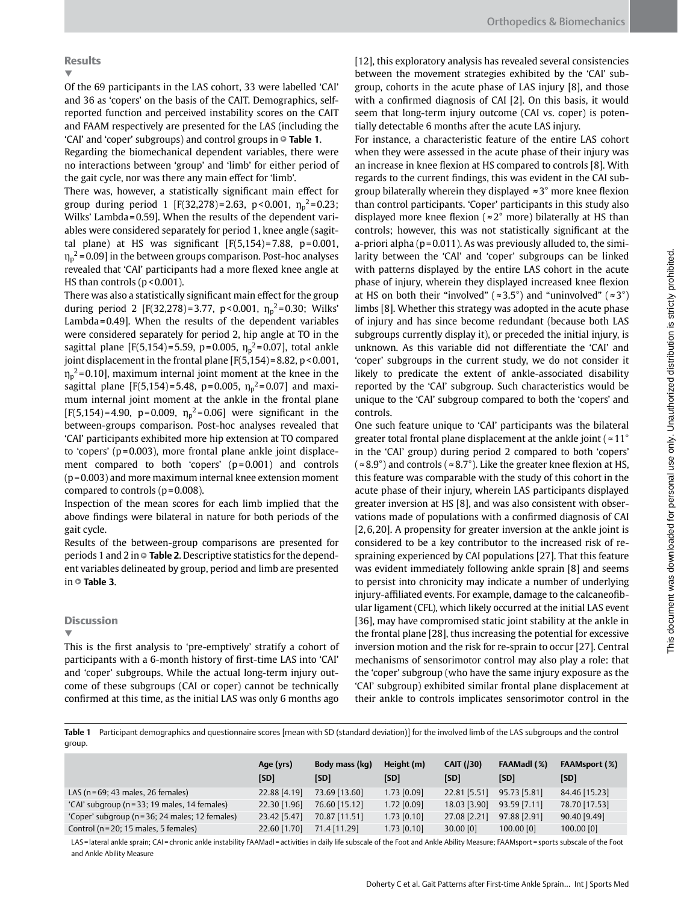## Results

▼

Of the 69 participants in the LAS cohort, 33 were labelled 'CAI' and 36 as 'copers' on the basis of the CAIT. Demographics, selfreported function and perceived instability scores on the CAIT and FAAM respectively are presented for the LAS (including the 'CAI' and 'coper' subgroups) and control groups in  $\circ$  **Table 1**.

Regarding the biomechanical dependent variables, there were no interactions between 'group' and 'limb' for either period of the gait cycle, nor was there any main effect for 'limb'.

There was, however, a statistically significant main effect for group during period 1 [F(32,278)=2.63, p<0.001,  $\eta_p^2$ =0.23; Wilks' Lambda=0.59]. When the results of the dependent variables were considered separately for period 1, knee angle (sagittal plane) at HS was significant  $[F(5,154)=7.88, p=0.001,$  $\eta_{\rm p}{}^2$ =0.09] in the between groups comparison. Post-hoc analyses revealed that 'CAI' participants had a more flexed knee angle at HS than controls ( $p$ <0.001).

There was also a statistically significant main effect for the group during period 2 [F(32,278)=3.77, p<0.001,  $\eta_p^2$ =0.30; Wilks' Lambda=0.49]. When the results of the dependent variables were considered separately for period 2, hip angle at TO in the sagittal plane [F(5,154)=5.59, p=0.005,  $\eta_p^2$ =0.07], total ankle joint displacement in the frontal plane  $[F(5,154)=8.82, p<0.001,$  $\eta_{\rm p}{}^2$ =0.10], maximum internal joint moment at the knee in the sagittal plane [F(5,154)=5.48, p=0.005,  $\eta_{\rm p}{}^2$ =0.07] and maximum internal joint moment at the ankle in the frontal plane [F(5,154)=4.90, p=0.009,  $\eta_p^2$ =0.06] were significant in the between-groups comparison. Post-hoc analyses revealed that 'CAI' participants exhibited more hip extension at TO compared to 'copers' (p=0.003), more frontal plane ankle joint displacement compared to both 'copers' (p=0.001) and controls (p=0.003) and more maximum internal knee extension moment compared to controls (p=0.008).

Inspection of the mean scores for each limb implied that the above findings were bilateral in nature for both periods of the gait cycle.

Results of the between-group comparisons are presented for periods 1 and 2 in  $\circ$  **Table 2**. Descriptive statistics for the dependent variables delineated by group, period and limb are presented in  $\circ$  Table 3.

## **Discussion**

▼

This is the first analysis to 'pre-emptively' stratify a cohort of participants with a 6-month history of first-time LAS into 'CAI' and 'coper' subgroups. While the actual long-term injury outcome of these subgroups (CAI or coper) cannot be technically confirmed at this time, as the initial LAS was only 6 months ago

[12], this exploratory analysis has revealed several consistencies between the movement strategies exhibited by the 'CAI' subgroup, cohorts in the acute phase of LAS injury [8], and those with a confirmed diagnosis of CAI [2]. On this basis, it would seem that long-term injury outcome (CAI vs. coper) is potentially detectable 6 months after the acute LAS injury.

For instance, a characteristic feature of the entire LAS cohort when they were assessed in the acute phase of their injury was an increase in knee flexion at HS compared to controls [8]. With regards to the current findings, this was evident in the CAI subgroup bilaterally wherein they displayed ≈3° more knee flexion than control participants. 'Coper' participants in this study also displayed more knee flexion ( $\approx 2^{\circ}$  more) bilaterally at HS than controls; however, this was not statistically significant at the a-priori alpha ( $p = 0.011$ ). As was previously alluded to, the similarity between the 'CAI' and 'coper' subgroups can be linked with patterns displayed by the entire LAS cohort in the acute phase of injury, wherein they displayed increased knee flexion at HS on both their "involved" ( $\approx 3.5^{\circ}$ ) and "uninvolved" ( $\approx 3^{\circ}$ ) limbs [8]. Whether this strategy was adopted in the acute phase of injury and has since become redundant (because both LAS subgroups currently display it), or preceded the initial injury, is unknown. As this variable did not differentiate the 'CAI' and 'coper' subgroups in the current study, we do not consider it likely to predicate the extent of ankle-associated disability reported by the 'CAI' subgroup. Such characteristics would be unique to the 'CAI' subgroup compared to both the 'copers' and controls.

One such feature unique to 'CAI' participants was the bilateral greater total frontal plane displacement at the ankle joint ( $\approx 11^{\circ}$ in the 'CAI' group) during period 2 compared to both 'copers'  $(*8.9^{\circ})$  and controls ( $*8.7^{\circ}$ ). Like the greater knee flexion at HS, this feature was comparable with the study of this cohort in the acute phase of their injury, wherein LAS participants displayed greater inversion at HS [8], and was also consistent with observations made of populations with a confirmed diagnosis of CAI [2,6,20]. A propensity for greater inversion at the ankle joint is considered to be a key contributor to the increased risk of respraining experienced by CAI populations [27]. That this feature was evident immediately following ankle sprain [8] and seems to persist into chronicity may indicate a number of underlying injury-affiliated events. For example, damage to the calcaneofibular ligament (CFL), which likely occurred at the initial LAS event [36], may have compromised static joint stability at the ankle in the frontal plane [28], thus increasing the potential for excessive inversion motion and the risk for re-sprain to occur [27]. Central mechanisms of sensorimotor control may also play a role: that the 'coper' subgroup (who have the same injury exposure as the 'CAI' subgroup) exhibited similar frontal plane displacement at their ankle to controls implicates sensorimotor control in the

**Table 1** Participant demographics and questionnaire scores [mean with SD (standard deviation)] for the involved limb of the LAS subgroups and the control group.

|                                                 | Age (yrs)<br>[SD] | Body mass (kg)<br>[SD] | Height (m)<br>[SD] | <b>CAIT (/30)</b><br>[SD] | FAAMadl (%)<br>[SD] | FAAMsport (%)<br>[SD] |
|-------------------------------------------------|-------------------|------------------------|--------------------|---------------------------|---------------------|-----------------------|
| LAS ( $n = 69$ ; 43 males, 26 females)          | 22.88 [4.19]      | 73.69 [13.60]          | 1.73 [0.09]        | 22.81 [5.51]              | 95.73 [5.81]        | 84.46 [15.23]         |
| 'CAI' subgroup (n = 33; 19 males, 14 females)   | 22.30 [1.96]      | 76.60 [15.12]          | $1.72$ [0.09]      | 18.03 [3.90]              | 93.59 [7.11]        | 78.70 [17.53]         |
| 'Coper' subgroup (n = 36; 24 males; 12 females) | 23.42 [5.47]      | 70.87 [11.51]          | $1.73$ [0.10]      | 27.08 [2.21]              | 97.88 [2.91]        | 90.40 [9.49]          |
| Control ( $n = 20$ ; 15 males, 5 females)       | 22.60 [1.70]      | 71.4 [11.29]           | $1.73$ [0.10]      | $30.00$ [0]               | $100.00$ [0]        | $100.00$ [0]          |

LAS=lateral ankle sprain; CAI=chronic ankle instability FAAMadl=activities in daily life subscale of the Foot and Ankle Ability Measure; FAAMsport=sports subscale of the Foot and Ankle Ability Measure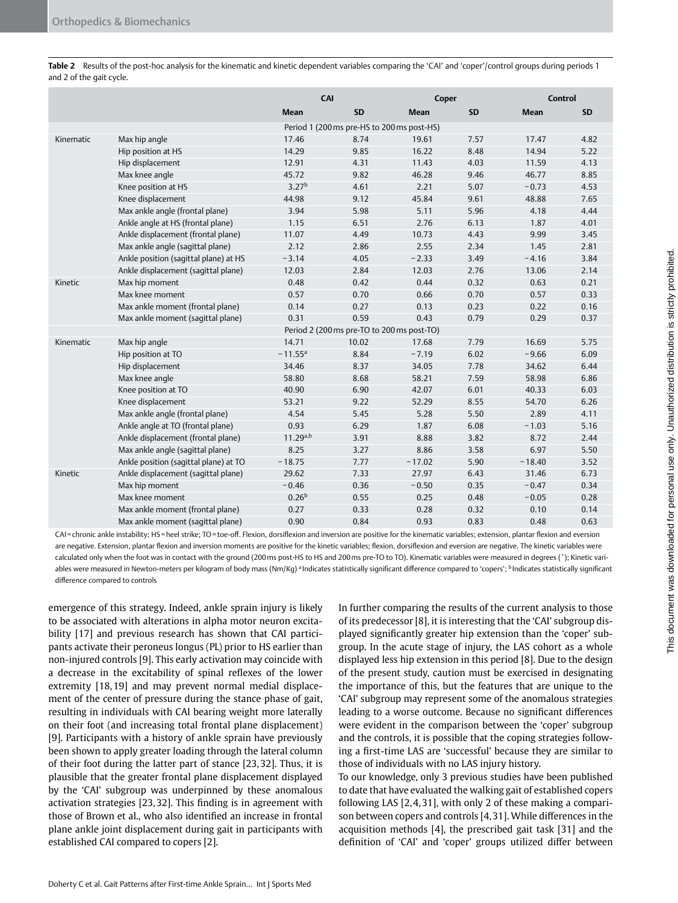|                                            |                                            | CAI                   |           | Coper       |           | <b>Control</b> |           |  |
|--------------------------------------------|--------------------------------------------|-----------------------|-----------|-------------|-----------|----------------|-----------|--|
|                                            |                                            | <b>Mean</b>           | <b>SD</b> | <b>Mean</b> | <b>SD</b> | <b>Mean</b>    | <b>SD</b> |  |
|                                            | Period 1 (200 ms pre-HS to 200 ms post-HS) |                       |           |             |           |                |           |  |
| Kinematic                                  | Max hip angle                              | 17.46                 | 8.74      | 19.61       | 7.57      | 17.47          | 4.82      |  |
|                                            | Hip position at HS                         | 14.29                 | 9.85      | 16.22       | 8.48      | 14.94          | 5.22      |  |
|                                            | Hip displacement                           | 12.91                 | 4.31      | 11.43       | 4.03      | 11.59          | 4.13      |  |
|                                            | Max knee angle                             | 45.72                 | 9.82      | 46.28       | 9.46      | 46.77          | 8.85      |  |
|                                            | Knee position at HS                        | 3.27 <sup>b</sup>     | 4.61      | 2.21        | 5.07      | $-0.73$        | 4.53      |  |
|                                            | Knee displacement                          | 44.98                 | 9.12      | 45.84       | 9.61      | 48.88          | 7.65      |  |
|                                            | Max ankle angle (frontal plane)            | 3.94                  | 5.98      | 5.11        | 5.96      | 4.18           | 4.44      |  |
|                                            | Ankle angle at HS (frontal plane)          | 1.15                  | 6.51      | 2.76        | 6.13      | 1.87           | 4.01      |  |
|                                            | Ankle displacement (frontal plane)         | 11.07                 | 4.49      | 10.73       | 4.43      | 9.99           | 3.45      |  |
|                                            | Max ankle angle (sagittal plane)           | 2.12                  | 2.86      | 2.55        | 2.34      | 1.45           | 2.81      |  |
|                                            | Ankle position (sagittal plane) at HS      | $-3.14$               | 4.05      | $-2.33$     | 3.49      | $-4.16$        | 3.84      |  |
|                                            | Ankle displacement (sagittal plane)        | 12.03                 | 2.84      | 12.03       | 2.76      | 13.06          | 2.14      |  |
| Kinetic                                    | Max hip moment                             | 0.48                  | 0.42      | 0.44        | 0.32      | 0.63           | 0.21      |  |
|                                            | Max knee moment                            | 0.57                  | 0.70      | 0.66        | 0.70      | 0.57           | 0.33      |  |
|                                            | Max ankle moment (frontal plane)           | 0.14                  | 0.27      | 0.13        | 0.23      | 0.22           | 0.16      |  |
|                                            | Max ankle moment (sagittal plane)          | 0.31                  | 0.59      | 0.43        | 0.79      | 0.29           | 0.37      |  |
| Period 2 (200 ms pre-TO to 200 ms post-TO) |                                            |                       |           |             |           |                |           |  |
| Kinematic                                  | Max hip angle                              | 14.71                 | 10.02     | 17.68       | 7.79      | 16.69          | 5.75      |  |
|                                            | Hip position at TO                         | $-11.55$ <sup>a</sup> | 8.84      | $-7.19$     | 6.02      | $-9.66$        | 6.09      |  |
|                                            | Hip displacement                           | 34.46                 | 8.37      | 34.05       | 7.78      | 34.62          | 6.44      |  |
|                                            | Max knee angle                             | 58.80                 | 8.68      | 58.21       | 7.59      | 58.98          | 6.86      |  |
|                                            | Knee position at TO                        | 40.90                 | 6.90      | 42.07       | 6.01      | 40.33          | 6.03      |  |
|                                            | Knee displacement                          | 53.21                 | 9.22      | 52.29       | 8.55      | 54.70          | 6.26      |  |
|                                            | Max ankle angle (frontal plane)            | 4.54                  | 5.45      | 5.28        | 5.50      | 2.89           | 4.11      |  |
|                                            | Ankle angle at TO (frontal plane)          | 0.93                  | 6.29      | 1.87        | 6.08      | $-1.03$        | 5.16      |  |
|                                            | Ankle displacement (frontal plane)         | $11.29^{a,b}$         | 3.91      | 8.88        | 3.82      | 8.72           | 2.44      |  |
|                                            | Max ankle angle (sagittal plane)           | 8.25                  | 3.27      | 8.86        | 3.58      | 6.97           | 5.50      |  |
|                                            | Ankle position (sagittal plane) at TO      | $-18.75$              | 7.77      | $-17.02$    | 5.90      | $-18.40$       | 3.52      |  |
| Kinetic                                    | Ankle displacement (sagittal plane)        | 29.62                 | 7.33      | 27.97       | 6.43      | 31.46          | 6.73      |  |
|                                            | Max hip moment                             | $-0.46$               | 0.36      | $-0.50$     | 0.35      | $-0.47$        | 0.34      |  |
|                                            | Max knee moment                            | $0.26^{b}$            | 0.55      | 0.25        | 0.48      | $-0.05$        | 0.28      |  |
|                                            | Max ankle moment (frontal plane)           | 0.27                  | 0.33      | 0.28        | 0.32      | 0.10           | 0.14      |  |
|                                            | Max ankle moment (sagittal plane)          | 0.90                  | 0.84      | 0.93        | 0.83      | 0.48           | 0.63      |  |

**Table 2** Results of the post-hoc analysis for the kinematic and kinetic dependent variables comparing the 'CAI' and 'coper'/control groups during periods 1 and 2 of the gait cycle.

CAI=chronic ankle instability; HS=heel strike; TO=toe-off. Flexion, dorsiflexion and inversion are positive for the kinematic variables; extension, plantar flexion and eversion are negative. Extension, plantar flexion and inversion moments are positive for the kinetic variables; flexion, dorsiflexion and eversion are negative. The kinetic variables were calculated only when the foot was in contact with the ground (200ms post-HS to HS and 200ms pre-TO to TO). Kinematic variables were measured in degrees (˚); Kinetic variables were measured in Newton-meters per kilogram of body mass (Nm/Kg) <sup>a</sup> Indicates statistically significant difference compared to 'copers'; <sup>b</sup> Indicates statistically significant difference compared to controls

emergence of this strategy. Indeed, ankle sprain injury is likely to be associated with alterations in alpha motor neuron excitability [17] and previous research has shown that CAI participants activate their peroneus longus (PL) prior to HS earlier than non-injured controls [9]. This early activation may coincide with a decrease in the excitability of spinal reflexes of the lower extremity [18,19] and may prevent normal medial displacement of the center of pressure during the stance phase of gait, resulting in individuals with CAI bearing weight more laterally on their foot (and increasing total frontal plane displacement) [9]. Participants with a history of ankle sprain have previously been shown to apply greater loading through the lateral column of their foot during the latter part of stance [23,32]. Thus, it is plausible that the greater frontal plane displacement displayed by the 'CAI' subgroup was underpinned by these anomalous activation strategies [23,32]. This finding is in agreement with those of Brown et al., who also identified an increase in frontal plane ankle joint displacement during gait in participants with established CAI compared to copers [2].

In further comparing the results of the current analysis to those of its predecessor [8], it is interesting that the 'CAI' subgroup displayed significantly greater hip extension than the 'coper' subgroup. In the acute stage of injury, the LAS cohort as a whole displayed less hip extension in this period [8]. Due to the design of the present study, caution must be exercised in designating the importance of this, but the features that are unique to the 'CAI' subgroup may represent some of the anomalous strategies leading to a worse outcome. Because no significant differences were evident in the comparison between the 'coper' subgroup and the controls, it is possible that the coping strategies following a first-time LAS are 'successful' because they are similar to those of individuals with no LAS injury history.

To our knowledge, only 3 previous studies have been published to date that have evaluated the walking gait of established copers following LAS [2,4,31], with only 2 of these making a comparison between copers and controls [4,31]. While differences in the acquisition methods [4], the prescribed gait task [31] and the definition of 'CAI' and 'coper' groups utilized differ between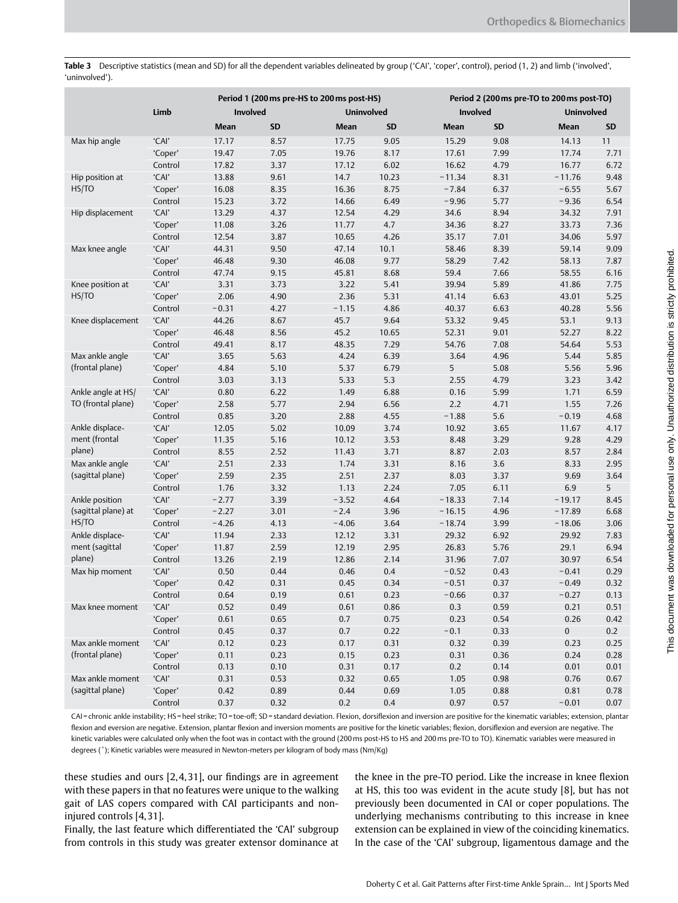**Table 3** Descriptive statistics (mean and SD) for all the dependent variables delineated by group ('CAI', 'coper', control), period (1, 2) and limb ('involved', 'uninvolved').

| Limb<br><b>Involved</b><br><b>Involved</b><br><b>Uninvolved</b><br><b>Uninvolved</b><br>SD<br><b>Mean</b><br><b>Mean</b><br>SD<br><b>Mean</b><br>SD<br>Mean<br>SD<br>'CAI'<br>17.17<br>17.75<br>9.05<br>15.29<br>9.08<br>14.13<br>11<br>Max hip angle<br>8.57<br>'Coper'<br>19.47<br>7.05<br>19.76<br>8.17<br>17.61<br>7.99<br>17.74<br>7.71<br>17.82<br>17.12<br>6.02<br>16.62<br>4.79<br>16.77<br>6.72<br>Control<br>3.37<br>'CAI'<br>14.7<br>10.23<br>$-11.34$<br>8.31<br>9.48<br>Hip position at<br>13.88<br>9.61<br>$-11.76$<br>HS/TO<br>16.36<br>5.67<br>'Coper'<br>16.08<br>8.75<br>$-7.84$<br>6.37<br>$-6.55$<br>8.35<br>15.23<br>3.72<br>14.66<br>6.49<br>$-9.96$<br>5.77<br>$-9.36$<br>6.54<br>Control<br>'CAI'<br>13.29<br>12.54<br>4.29<br>8.94<br>7.91<br>Hip displacement<br>4.37<br>34.6<br>34.32<br>'Coper'<br>4.7<br>7.36<br>11.08<br>3.26<br>11.77<br>34.36<br>8.27<br>33.73<br>Control<br>12.54<br>4.26<br>7.01<br>34.06<br>5.97<br>3.87<br>10.65<br>35.17<br>'CAI'<br>44.31<br>47.14<br>10.1<br>8.39<br>59.14<br>9.09<br>Max knee angle<br>9.50<br>58.46<br>'Coper'<br>46.08<br>9.77<br>7.42<br>7.87<br>46.48<br>9.30<br>58.29<br>58.13<br>47.74<br>7.66<br>6.16<br>Control<br>9.15<br>45.81<br>8.68<br>59.4<br>58.55<br>'CAI'<br>3.31<br>3.22<br>5.41<br>39.94<br>5.89<br>41.86<br>7.75<br>Knee position at<br>3.73<br>5.25<br>HS/TO<br>'Coper'<br>2.06<br>2.36<br>5.31<br>41.14<br>6.63<br>43.01<br>4.90<br>Control<br>$-0.31$<br>4.86<br>6.63<br>40.28<br>5.56<br>4.27<br>$-1.15$<br>40.37<br>'CAI'<br>44.26<br>45.7<br>9.64<br>9.13<br>Knee displacement<br>8.67<br>53.32<br>9.45<br>53.1<br>'Coper'<br>46.48<br>45.2<br>10.65<br>9.01<br>52.27<br>8.22<br>8.56<br>52.31<br>48.35<br>7.29<br>7.08<br>54.64<br>5.53<br>Control<br>49.41<br>8.17<br>54.76<br>Max ankle angle<br>'CAI'<br>3.65<br>4.24<br>6.39<br>5.85<br>5.63<br>3.64<br>4.96<br>5.44<br>(frontal plane)<br>'Coper'<br>4.84<br>5.37<br>6.79<br>5<br>5.08<br>5.56<br>5.96<br>5.10<br>5.3<br>Control<br>3.03<br>5.33<br>2.55<br>4.79<br>3.23<br>3.42<br>3.13<br>'CAI'<br>0.80<br>6.22<br>1.49<br>6.88<br>0.16<br>5.99<br>1.71<br>6.59<br>Ankle angle at HS/<br>TO (frontal plane)<br>'Coper'<br>2.58<br>5.77<br>2.94<br>6.56<br>2.2<br>4.71<br>1.55<br>7.26<br>2.88<br>$-1.88$<br>$5.6\,$<br>4.68<br>Control<br>0.85<br>3.20<br>4.55<br>$-0.19$ |                                            |       | Period 1 (200 ms pre-HS to 200 ms post-HS) |       |      |  | Period 2 (200 ms pre-TO to 200 ms post-TO) |  |      |  |  |
|-------------------------------------------------------------------------------------------------------------------------------------------------------------------------------------------------------------------------------------------------------------------------------------------------------------------------------------------------------------------------------------------------------------------------------------------------------------------------------------------------------------------------------------------------------------------------------------------------------------------------------------------------------------------------------------------------------------------------------------------------------------------------------------------------------------------------------------------------------------------------------------------------------------------------------------------------------------------------------------------------------------------------------------------------------------------------------------------------------------------------------------------------------------------------------------------------------------------------------------------------------------------------------------------------------------------------------------------------------------------------------------------------------------------------------------------------------------------------------------------------------------------------------------------------------------------------------------------------------------------------------------------------------------------------------------------------------------------------------------------------------------------------------------------------------------------------------------------------------------------------------------------------------------------------------------------------------------------------------------------------------------------------------------------------------------------------------------------------------------------------------------------------------------------------------------------------------------------------------------------------------------------------------------------------------------------------------------|--------------------------------------------|-------|--------------------------------------------|-------|------|--|--------------------------------------------|--|------|--|--|
|                                                                                                                                                                                                                                                                                                                                                                                                                                                                                                                                                                                                                                                                                                                                                                                                                                                                                                                                                                                                                                                                                                                                                                                                                                                                                                                                                                                                                                                                                                                                                                                                                                                                                                                                                                                                                                                                                                                                                                                                                                                                                                                                                                                                                                                                                                                                     |                                            |       |                                            |       |      |  |                                            |  |      |  |  |
|                                                                                                                                                                                                                                                                                                                                                                                                                                                                                                                                                                                                                                                                                                                                                                                                                                                                                                                                                                                                                                                                                                                                                                                                                                                                                                                                                                                                                                                                                                                                                                                                                                                                                                                                                                                                                                                                                                                                                                                                                                                                                                                                                                                                                                                                                                                                     |                                            |       |                                            |       |      |  |                                            |  |      |  |  |
|                                                                                                                                                                                                                                                                                                                                                                                                                                                                                                                                                                                                                                                                                                                                                                                                                                                                                                                                                                                                                                                                                                                                                                                                                                                                                                                                                                                                                                                                                                                                                                                                                                                                                                                                                                                                                                                                                                                                                                                                                                                                                                                                                                                                                                                                                                                                     |                                            |       |                                            |       |      |  |                                            |  |      |  |  |
|                                                                                                                                                                                                                                                                                                                                                                                                                                                                                                                                                                                                                                                                                                                                                                                                                                                                                                                                                                                                                                                                                                                                                                                                                                                                                                                                                                                                                                                                                                                                                                                                                                                                                                                                                                                                                                                                                                                                                                                                                                                                                                                                                                                                                                                                                                                                     |                                            |       |                                            |       |      |  |                                            |  |      |  |  |
|                                                                                                                                                                                                                                                                                                                                                                                                                                                                                                                                                                                                                                                                                                                                                                                                                                                                                                                                                                                                                                                                                                                                                                                                                                                                                                                                                                                                                                                                                                                                                                                                                                                                                                                                                                                                                                                                                                                                                                                                                                                                                                                                                                                                                                                                                                                                     |                                            |       |                                            |       |      |  |                                            |  |      |  |  |
|                                                                                                                                                                                                                                                                                                                                                                                                                                                                                                                                                                                                                                                                                                                                                                                                                                                                                                                                                                                                                                                                                                                                                                                                                                                                                                                                                                                                                                                                                                                                                                                                                                                                                                                                                                                                                                                                                                                                                                                                                                                                                                                                                                                                                                                                                                                                     |                                            |       |                                            |       |      |  |                                            |  |      |  |  |
|                                                                                                                                                                                                                                                                                                                                                                                                                                                                                                                                                                                                                                                                                                                                                                                                                                                                                                                                                                                                                                                                                                                                                                                                                                                                                                                                                                                                                                                                                                                                                                                                                                                                                                                                                                                                                                                                                                                                                                                                                                                                                                                                                                                                                                                                                                                                     |                                            |       |                                            |       |      |  |                                            |  |      |  |  |
|                                                                                                                                                                                                                                                                                                                                                                                                                                                                                                                                                                                                                                                                                                                                                                                                                                                                                                                                                                                                                                                                                                                                                                                                                                                                                                                                                                                                                                                                                                                                                                                                                                                                                                                                                                                                                                                                                                                                                                                                                                                                                                                                                                                                                                                                                                                                     |                                            |       |                                            |       |      |  |                                            |  |      |  |  |
|                                                                                                                                                                                                                                                                                                                                                                                                                                                                                                                                                                                                                                                                                                                                                                                                                                                                                                                                                                                                                                                                                                                                                                                                                                                                                                                                                                                                                                                                                                                                                                                                                                                                                                                                                                                                                                                                                                                                                                                                                                                                                                                                                                                                                                                                                                                                     |                                            |       |                                            |       |      |  |                                            |  |      |  |  |
|                                                                                                                                                                                                                                                                                                                                                                                                                                                                                                                                                                                                                                                                                                                                                                                                                                                                                                                                                                                                                                                                                                                                                                                                                                                                                                                                                                                                                                                                                                                                                                                                                                                                                                                                                                                                                                                                                                                                                                                                                                                                                                                                                                                                                                                                                                                                     |                                            |       |                                            |       |      |  |                                            |  |      |  |  |
|                                                                                                                                                                                                                                                                                                                                                                                                                                                                                                                                                                                                                                                                                                                                                                                                                                                                                                                                                                                                                                                                                                                                                                                                                                                                                                                                                                                                                                                                                                                                                                                                                                                                                                                                                                                                                                                                                                                                                                                                                                                                                                                                                                                                                                                                                                                                     |                                            |       |                                            |       |      |  |                                            |  |      |  |  |
|                                                                                                                                                                                                                                                                                                                                                                                                                                                                                                                                                                                                                                                                                                                                                                                                                                                                                                                                                                                                                                                                                                                                                                                                                                                                                                                                                                                                                                                                                                                                                                                                                                                                                                                                                                                                                                                                                                                                                                                                                                                                                                                                                                                                                                                                                                                                     |                                            |       |                                            |       |      |  |                                            |  |      |  |  |
|                                                                                                                                                                                                                                                                                                                                                                                                                                                                                                                                                                                                                                                                                                                                                                                                                                                                                                                                                                                                                                                                                                                                                                                                                                                                                                                                                                                                                                                                                                                                                                                                                                                                                                                                                                                                                                                                                                                                                                                                                                                                                                                                                                                                                                                                                                                                     |                                            |       |                                            |       |      |  |                                            |  |      |  |  |
|                                                                                                                                                                                                                                                                                                                                                                                                                                                                                                                                                                                                                                                                                                                                                                                                                                                                                                                                                                                                                                                                                                                                                                                                                                                                                                                                                                                                                                                                                                                                                                                                                                                                                                                                                                                                                                                                                                                                                                                                                                                                                                                                                                                                                                                                                                                                     |                                            |       |                                            |       |      |  |                                            |  |      |  |  |
|                                                                                                                                                                                                                                                                                                                                                                                                                                                                                                                                                                                                                                                                                                                                                                                                                                                                                                                                                                                                                                                                                                                                                                                                                                                                                                                                                                                                                                                                                                                                                                                                                                                                                                                                                                                                                                                                                                                                                                                                                                                                                                                                                                                                                                                                                                                                     |                                            |       |                                            |       |      |  |                                            |  |      |  |  |
|                                                                                                                                                                                                                                                                                                                                                                                                                                                                                                                                                                                                                                                                                                                                                                                                                                                                                                                                                                                                                                                                                                                                                                                                                                                                                                                                                                                                                                                                                                                                                                                                                                                                                                                                                                                                                                                                                                                                                                                                                                                                                                                                                                                                                                                                                                                                     |                                            |       |                                            |       |      |  |                                            |  |      |  |  |
|                                                                                                                                                                                                                                                                                                                                                                                                                                                                                                                                                                                                                                                                                                                                                                                                                                                                                                                                                                                                                                                                                                                                                                                                                                                                                                                                                                                                                                                                                                                                                                                                                                                                                                                                                                                                                                                                                                                                                                                                                                                                                                                                                                                                                                                                                                                                     |                                            |       |                                            |       |      |  |                                            |  |      |  |  |
|                                                                                                                                                                                                                                                                                                                                                                                                                                                                                                                                                                                                                                                                                                                                                                                                                                                                                                                                                                                                                                                                                                                                                                                                                                                                                                                                                                                                                                                                                                                                                                                                                                                                                                                                                                                                                                                                                                                                                                                                                                                                                                                                                                                                                                                                                                                                     |                                            |       |                                            |       |      |  |                                            |  |      |  |  |
|                                                                                                                                                                                                                                                                                                                                                                                                                                                                                                                                                                                                                                                                                                                                                                                                                                                                                                                                                                                                                                                                                                                                                                                                                                                                                                                                                                                                                                                                                                                                                                                                                                                                                                                                                                                                                                                                                                                                                                                                                                                                                                                                                                                                                                                                                                                                     |                                            |       |                                            |       |      |  |                                            |  |      |  |  |
|                                                                                                                                                                                                                                                                                                                                                                                                                                                                                                                                                                                                                                                                                                                                                                                                                                                                                                                                                                                                                                                                                                                                                                                                                                                                                                                                                                                                                                                                                                                                                                                                                                                                                                                                                                                                                                                                                                                                                                                                                                                                                                                                                                                                                                                                                                                                     |                                            |       |                                            |       |      |  |                                            |  |      |  |  |
|                                                                                                                                                                                                                                                                                                                                                                                                                                                                                                                                                                                                                                                                                                                                                                                                                                                                                                                                                                                                                                                                                                                                                                                                                                                                                                                                                                                                                                                                                                                                                                                                                                                                                                                                                                                                                                                                                                                                                                                                                                                                                                                                                                                                                                                                                                                                     |                                            |       |                                            |       |      |  |                                            |  |      |  |  |
|                                                                                                                                                                                                                                                                                                                                                                                                                                                                                                                                                                                                                                                                                                                                                                                                                                                                                                                                                                                                                                                                                                                                                                                                                                                                                                                                                                                                                                                                                                                                                                                                                                                                                                                                                                                                                                                                                                                                                                                                                                                                                                                                                                                                                                                                                                                                     |                                            |       |                                            |       |      |  |                                            |  |      |  |  |
|                                                                                                                                                                                                                                                                                                                                                                                                                                                                                                                                                                                                                                                                                                                                                                                                                                                                                                                                                                                                                                                                                                                                                                                                                                                                                                                                                                                                                                                                                                                                                                                                                                                                                                                                                                                                                                                                                                                                                                                                                                                                                                                                                                                                                                                                                                                                     |                                            |       |                                            |       |      |  |                                            |  |      |  |  |
|                                                                                                                                                                                                                                                                                                                                                                                                                                                                                                                                                                                                                                                                                                                                                                                                                                                                                                                                                                                                                                                                                                                                                                                                                                                                                                                                                                                                                                                                                                                                                                                                                                                                                                                                                                                                                                                                                                                                                                                                                                                                                                                                                                                                                                                                                                                                     |                                            |       |                                            |       |      |  |                                            |  |      |  |  |
|                                                                                                                                                                                                                                                                                                                                                                                                                                                                                                                                                                                                                                                                                                                                                                                                                                                                                                                                                                                                                                                                                                                                                                                                                                                                                                                                                                                                                                                                                                                                                                                                                                                                                                                                                                                                                                                                                                                                                                                                                                                                                                                                                                                                                                                                                                                                     |                                            |       |                                            |       |      |  |                                            |  |      |  |  |
|                                                                                                                                                                                                                                                                                                                                                                                                                                                                                                                                                                                                                                                                                                                                                                                                                                                                                                                                                                                                                                                                                                                                                                                                                                                                                                                                                                                                                                                                                                                                                                                                                                                                                                                                                                                                                                                                                                                                                                                                                                                                                                                                                                                                                                                                                                                                     |                                            |       |                                            |       |      |  |                                            |  |      |  |  |
| 12.05<br>5.02<br>10.92<br>11.67                                                                                                                                                                                                                                                                                                                                                                                                                                                                                                                                                                                                                                                                                                                                                                                                                                                                                                                                                                                                                                                                                                                                                                                                                                                                                                                                                                                                                                                                                                                                                                                                                                                                                                                                                                                                                                                                                                                                                                                                                                                                                                                                                                                                                                                                                                     | Ankle displace-<br>ment (frontal<br>plane) | 'CAI' |                                            | 10.09 | 3.74 |  | 3.65                                       |  | 4.17 |  |  |
| 4.29<br>'Coper'<br>11.35<br>10.12<br>3.53<br>3.29<br>9.28<br>5.16<br>8.48                                                                                                                                                                                                                                                                                                                                                                                                                                                                                                                                                                                                                                                                                                                                                                                                                                                                                                                                                                                                                                                                                                                                                                                                                                                                                                                                                                                                                                                                                                                                                                                                                                                                                                                                                                                                                                                                                                                                                                                                                                                                                                                                                                                                                                                           |                                            |       |                                            |       |      |  |                                            |  |      |  |  |
| Control<br>8.55<br>3.71<br>8.87<br>2.03<br>2.84<br>2.52<br>11.43<br>8.57                                                                                                                                                                                                                                                                                                                                                                                                                                                                                                                                                                                                                                                                                                                                                                                                                                                                                                                                                                                                                                                                                                                                                                                                                                                                                                                                                                                                                                                                                                                                                                                                                                                                                                                                                                                                                                                                                                                                                                                                                                                                                                                                                                                                                                                            |                                            |       |                                            |       |      |  |                                            |  |      |  |  |
| 'CAI'<br>2.51<br>3.31<br>3.6<br>8.33<br>2.95<br>Max ankle angle<br>2.33<br>1.74<br>8.16                                                                                                                                                                                                                                                                                                                                                                                                                                                                                                                                                                                                                                                                                                                                                                                                                                                                                                                                                                                                                                                                                                                                                                                                                                                                                                                                                                                                                                                                                                                                                                                                                                                                                                                                                                                                                                                                                                                                                                                                                                                                                                                                                                                                                                             |                                            |       |                                            |       |      |  |                                            |  |      |  |  |
| (sagittal plane)<br>2.59<br>2.35<br>2.51<br>2.37<br>8.03<br>3.37<br>9.69<br>3.64<br>'Coper'                                                                                                                                                                                                                                                                                                                                                                                                                                                                                                                                                                                                                                                                                                                                                                                                                                                                                                                                                                                                                                                                                                                                                                                                                                                                                                                                                                                                                                                                                                                                                                                                                                                                                                                                                                                                                                                                                                                                                                                                                                                                                                                                                                                                                                         |                                            |       |                                            |       |      |  |                                            |  |      |  |  |
| 2.24<br>5<br>Control<br>1.76<br>3.32<br>1.13<br>7.05<br>6.11<br>6.9                                                                                                                                                                                                                                                                                                                                                                                                                                                                                                                                                                                                                                                                                                                                                                                                                                                                                                                                                                                                                                                                                                                                                                                                                                                                                                                                                                                                                                                                                                                                                                                                                                                                                                                                                                                                                                                                                                                                                                                                                                                                                                                                                                                                                                                                 |                                            |       |                                            |       |      |  |                                            |  |      |  |  |
| 'CAI'<br>$-2.77$<br>3.39<br>$-3.52$<br>4.64<br>$-18.33$<br>7.14<br>8.45<br>Ankle position<br>$-19.17$                                                                                                                                                                                                                                                                                                                                                                                                                                                                                                                                                                                                                                                                                                                                                                                                                                                                                                                                                                                                                                                                                                                                                                                                                                                                                                                                                                                                                                                                                                                                                                                                                                                                                                                                                                                                                                                                                                                                                                                                                                                                                                                                                                                                                               |                                            |       |                                            |       |      |  |                                            |  |      |  |  |
| (sagittal plane) at<br>'Coper'<br>$-2.4$<br>3.96<br>$-16.15$<br>6.68<br>$-2.27$<br>3.01<br>4.96<br>$-17.89$                                                                                                                                                                                                                                                                                                                                                                                                                                                                                                                                                                                                                                                                                                                                                                                                                                                                                                                                                                                                                                                                                                                                                                                                                                                                                                                                                                                                                                                                                                                                                                                                                                                                                                                                                                                                                                                                                                                                                                                                                                                                                                                                                                                                                         |                                            |       |                                            |       |      |  |                                            |  |      |  |  |
| HS/TO<br>Control<br>$-4.26$<br>$-4.06$<br>3.64<br>3.06<br>4.13<br>$-18.74$<br>3.99<br>$-18.06$                                                                                                                                                                                                                                                                                                                                                                                                                                                                                                                                                                                                                                                                                                                                                                                                                                                                                                                                                                                                                                                                                                                                                                                                                                                                                                                                                                                                                                                                                                                                                                                                                                                                                                                                                                                                                                                                                                                                                                                                                                                                                                                                                                                                                                      |                                            |       |                                            |       |      |  |                                            |  |      |  |  |
| Ankle displace-<br>'CAI'<br>11.94<br>3.31<br>7.83<br>2.33<br>12.12<br>29.32<br>6.92<br>29.92                                                                                                                                                                                                                                                                                                                                                                                                                                                                                                                                                                                                                                                                                                                                                                                                                                                                                                                                                                                                                                                                                                                                                                                                                                                                                                                                                                                                                                                                                                                                                                                                                                                                                                                                                                                                                                                                                                                                                                                                                                                                                                                                                                                                                                        |                                            |       |                                            |       |      |  |                                            |  |      |  |  |
| ment (sagittal<br>'Coper'<br>12.19<br>2.95<br>26.83<br>29.1<br>6.94<br>11.87<br>2.59<br>5.76                                                                                                                                                                                                                                                                                                                                                                                                                                                                                                                                                                                                                                                                                                                                                                                                                                                                                                                                                                                                                                                                                                                                                                                                                                                                                                                                                                                                                                                                                                                                                                                                                                                                                                                                                                                                                                                                                                                                                                                                                                                                                                                                                                                                                                        |                                            |       |                                            |       |      |  |                                            |  |      |  |  |
| plane)<br>2.14<br>6.54<br>Control<br>13.26<br>2.19<br>12.86<br>31.96<br>7.07<br>30.97                                                                                                                                                                                                                                                                                                                                                                                                                                                                                                                                                                                                                                                                                                                                                                                                                                                                                                                                                                                                                                                                                                                                                                                                                                                                                                                                                                                                                                                                                                                                                                                                                                                                                                                                                                                                                                                                                                                                                                                                                                                                                                                                                                                                                                               |                                            |       |                                            |       |      |  |                                            |  |      |  |  |
| 'CAI'<br>0.50<br>0.4<br>$-0.52$<br>0.43<br>0.29<br>Max hip moment<br>0.44<br>0.46<br>$-0.41$                                                                                                                                                                                                                                                                                                                                                                                                                                                                                                                                                                                                                                                                                                                                                                                                                                                                                                                                                                                                                                                                                                                                                                                                                                                                                                                                                                                                                                                                                                                                                                                                                                                                                                                                                                                                                                                                                                                                                                                                                                                                                                                                                                                                                                        |                                            |       |                                            |       |      |  |                                            |  |      |  |  |
| 0.32<br>'Coper'<br>0.42<br>0.31<br>0.45<br>0.34<br>$-0.51$<br>0.37<br>$-0.49$                                                                                                                                                                                                                                                                                                                                                                                                                                                                                                                                                                                                                                                                                                                                                                                                                                                                                                                                                                                                                                                                                                                                                                                                                                                                                                                                                                                                                                                                                                                                                                                                                                                                                                                                                                                                                                                                                                                                                                                                                                                                                                                                                                                                                                                       |                                            |       |                                            |       |      |  |                                            |  |      |  |  |
| 0.23<br>0.13<br>Control<br>0.64<br>0.19<br>0.61<br>$-0.66$<br>0.37<br>$-0.27$                                                                                                                                                                                                                                                                                                                                                                                                                                                                                                                                                                                                                                                                                                                                                                                                                                                                                                                                                                                                                                                                                                                                                                                                                                                                                                                                                                                                                                                                                                                                                                                                                                                                                                                                                                                                                                                                                                                                                                                                                                                                                                                                                                                                                                                       |                                            |       |                                            |       |      |  |                                            |  |      |  |  |
| 'CAI'<br>0.52<br>0.86<br>0.3<br>0.21<br>0.51<br>Max knee moment<br>0.49<br>0.61<br>0.59                                                                                                                                                                                                                                                                                                                                                                                                                                                                                                                                                                                                                                                                                                                                                                                                                                                                                                                                                                                                                                                                                                                                                                                                                                                                                                                                                                                                                                                                                                                                                                                                                                                                                                                                                                                                                                                                                                                                                                                                                                                                                                                                                                                                                                             |                                            |       |                                            |       |      |  |                                            |  |      |  |  |
| 'Coper'<br>0.61<br>0.65<br>0.7<br>0.75<br>0.23<br>0.54<br>0.26<br>0.42                                                                                                                                                                                                                                                                                                                                                                                                                                                                                                                                                                                                                                                                                                                                                                                                                                                                                                                                                                                                                                                                                                                                                                                                                                                                                                                                                                                                                                                                                                                                                                                                                                                                                                                                                                                                                                                                                                                                                                                                                                                                                                                                                                                                                                                              |                                            |       |                                            |       |      |  |                                            |  |      |  |  |
| 0.22<br>$-0.1$<br>0.2<br>Control<br>0.45<br>0.37<br>0.7<br>0.33<br>$\boldsymbol{0}$                                                                                                                                                                                                                                                                                                                                                                                                                                                                                                                                                                                                                                                                                                                                                                                                                                                                                                                                                                                                                                                                                                                                                                                                                                                                                                                                                                                                                                                                                                                                                                                                                                                                                                                                                                                                                                                                                                                                                                                                                                                                                                                                                                                                                                                 |                                            |       |                                            |       |      |  |                                            |  |      |  |  |
| 'CAI'<br>Max ankle moment<br>0.12<br>0.23<br>0.17<br>0.31<br>0.23<br>0.25<br>0.32<br>0.39                                                                                                                                                                                                                                                                                                                                                                                                                                                                                                                                                                                                                                                                                                                                                                                                                                                                                                                                                                                                                                                                                                                                                                                                                                                                                                                                                                                                                                                                                                                                                                                                                                                                                                                                                                                                                                                                                                                                                                                                                                                                                                                                                                                                                                           |                                            |       |                                            |       |      |  |                                            |  |      |  |  |
| (frontal plane)<br>'Coper'<br>0.23<br>0.24<br>0.28<br>0.11<br>0.23<br>0.15<br>0.31<br>0.36                                                                                                                                                                                                                                                                                                                                                                                                                                                                                                                                                                                                                                                                                                                                                                                                                                                                                                                                                                                                                                                                                                                                                                                                                                                                                                                                                                                                                                                                                                                                                                                                                                                                                                                                                                                                                                                                                                                                                                                                                                                                                                                                                                                                                                          |                                            |       |                                            |       |      |  |                                            |  |      |  |  |
| Control<br>0.31<br>0.17<br>0.01<br>0.13<br>0.10<br>0.2<br>0.14<br>0.01                                                                                                                                                                                                                                                                                                                                                                                                                                                                                                                                                                                                                                                                                                                                                                                                                                                                                                                                                                                                                                                                                                                                                                                                                                                                                                                                                                                                                                                                                                                                                                                                                                                                                                                                                                                                                                                                                                                                                                                                                                                                                                                                                                                                                                                              |                                            |       |                                            |       |      |  |                                            |  |      |  |  |
| 'CAI'<br>Max ankle moment<br>0.31<br>0.32<br>0.65<br>0.98<br>0.76<br>0.67<br>0.53<br>1.05                                                                                                                                                                                                                                                                                                                                                                                                                                                                                                                                                                                                                                                                                                                                                                                                                                                                                                                                                                                                                                                                                                                                                                                                                                                                                                                                                                                                                                                                                                                                                                                                                                                                                                                                                                                                                                                                                                                                                                                                                                                                                                                                                                                                                                           |                                            |       |                                            |       |      |  |                                            |  |      |  |  |
| (sagittal plane)<br>'Coper'<br>0.42<br>0.44<br>0.69<br>1.05<br>0.81<br>0.78<br>0.89<br>0.88                                                                                                                                                                                                                                                                                                                                                                                                                                                                                                                                                                                                                                                                                                                                                                                                                                                                                                                                                                                                                                                                                                                                                                                                                                                                                                                                                                                                                                                                                                                                                                                                                                                                                                                                                                                                                                                                                                                                                                                                                                                                                                                                                                                                                                         |                                            |       |                                            |       |      |  |                                            |  |      |  |  |
| Control<br>0.32<br>0.2<br>$0.4\,$<br>0.97<br>0.57<br>0.37<br>$-0.01$<br>0.07                                                                                                                                                                                                                                                                                                                                                                                                                                                                                                                                                                                                                                                                                                                                                                                                                                                                                                                                                                                                                                                                                                                                                                                                                                                                                                                                                                                                                                                                                                                                                                                                                                                                                                                                                                                                                                                                                                                                                                                                                                                                                                                                                                                                                                                        |                                            |       |                                            |       |      |  |                                            |  |      |  |  |

CAI = chronic ankle instability; HS = heel strike; TO = toe-off; SD = standard deviation. Flexion, dorsiflexion and inversion are positive for the kinematic variables; extension, plantar flexion and eversion are negative. Extension, plantar flexion and inversion moments are positive for the kinetic variables; flexion, dorsiflexion and eversion are negative. The kinetic variables were calculated only when the foot was in contact with the ground (200ms post-HS to HS and 200ms pre-TO to TO). Kinematic variables were measured in degrees (˚); Kinetic variables were measured in Newton-meters per kilogram of body mass (Nm/Kg)

these studies and ours [2,4,31], our findings are in agreement with these papers in that no features were unique to the walking gait of LAS copers compared with CAI participants and noninjured controls [4,31].

Finally, the last feature which differentiated the 'CAI' subgroup from controls in this study was greater extensor dominance at the knee in the pre-TO period. Like the increase in knee flexion at HS, this too was evident in the acute study [8], but has not previously been documented in CAI or coper populations. The underlying mechanisms contributing to this increase in knee extension can be explained in view of the coinciding kinematics. In the case of the 'CAI' subgroup, ligamentous damage and the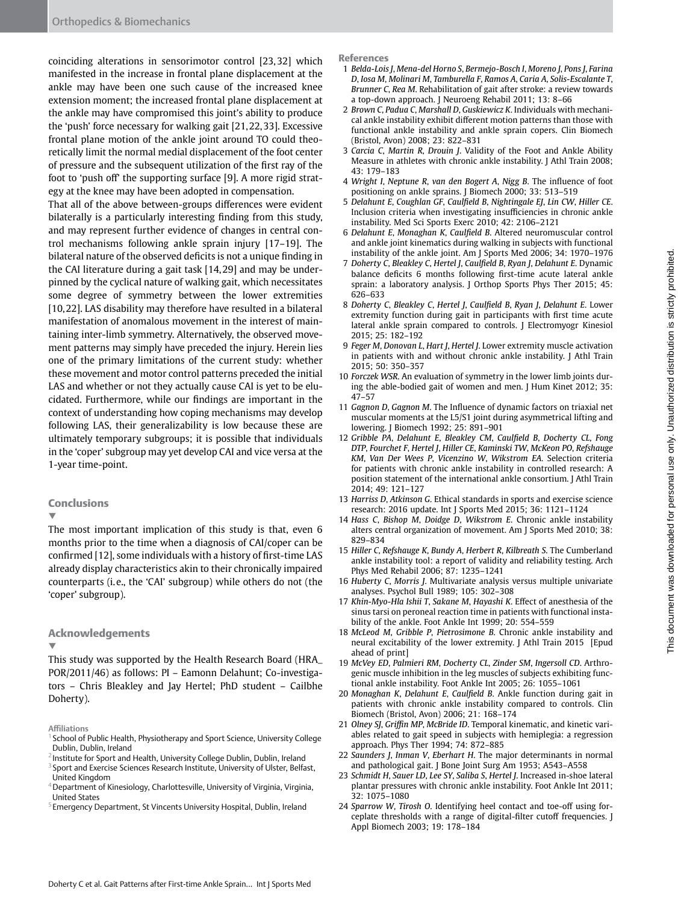coinciding alterations in sensorimotor control [23,32] which manifested in the increase in frontal plane displacement at the ankle may have been one such cause of the increased knee extension moment; the increased frontal plane displacement at the ankle may have compromised this joint's ability to produce the 'push' force necessary for walking gait [21,22,33]. Excessive frontal plane motion of the ankle joint around TO could theoretically limit the normal medial displacement of the foot center of pressure and the subsequent utilization of the first ray of the foot to 'push off' the supporting surface [9]. A more rigid strategy at the knee may have been adopted in compensation.

That all of the above between-groups differences were evident bilaterally is a particularly interesting finding from this study, and may represent further evidence of changes in central control mechanisms following ankle sprain injury [17–19]. The bilateral nature of the observed deficits is not a unique finding in the CAI literature during a gait task [14,29] and may be underpinned by the cyclical nature of walking gait, which necessitates some degree of symmetry between the lower extremities [10,22]. LAS disability may therefore have resulted in a bilateral manifestation of anomalous movement in the interest of maintaining inter-limb symmetry. Alternatively, the observed movement patterns may simply have preceded the injury. Herein lies one of the primary limitations of the current study: whether these movement and motor control patterns preceded the initial LAS and whether or not they actually cause CAI is yet to be elucidated. Furthermore, while our findings are important in the context of understanding how coping mechanisms may develop following LAS, their generalizability is low because these are ultimately temporary subgroups; it is possible that individuals in the 'coper' subgroup may yet develop CAI and vice versa at the 1-year time-point.

#### Conclusions

▼

The most important implication of this study is that, even 6 months prior to the time when a diagnosis of CAI/coper can be confirmed [12], some individuals with a history of first-time LAS already display characteristics akin to their chronically impaired counterparts (i.e., the 'CAI' subgroup) while others do not (the 'coper' subgroup).

#### Acknowledgements

▼

This study was supported by the Health Research Board (HRA\_ POR/2011/46) as follows: PI – Eamonn Delahunt; Co-investigators – Chris Bleakley and Jay Hertel; PhD student – Cailbhe Doherty).

- <sup>1</sup> School of Public Health, Physiotherapy and Sport Science, University College Dublin, Dublin, Ireland
- <sup>2</sup> Institute for Sport and Health, University College Dublin, Dublin, Ireland
- <sup>3</sup> Sport and Exercise Sciences Research Institute, University of Ulster, Belfast, United Kingdom
- <sup>4</sup> Department of Kinesiology, Charlottesville, University of Virginia, Virginia, United States
- <sup>5</sup> Emergency Department, St Vincents University Hospital, Dublin, Ireland

#### References

- 1 *Belda-Lois J*, *Mena-del Horno S*, *Bermejo-Bosch I*, *Moreno J*, *Pons J*, *Farina D*, *Iosa M*, *Molinari M*, *Tamburella F*, *Ramos A*, *Caria A*, *Solis-Escalante T*, *Brunner C*, *Rea M*. Rehabilitation of gait after stroke: a review towards a top-down approach. J Neuroeng Rehabil 2011; 13: 8–66
- 2 *Brown C*, *Padua C*, *Marshall D*, *Guskiewicz K*. Individuals with mechanical ankle instability exhibit different motion patterns than those with functional ankle instability and ankle sprain copers. Clin Biomech (Bristol, Avon) 2008; 23: 822–831
- 3 *Carcia C*, *Martin R*, *Drouin J*. Validity of the Foot and Ankle Ability Measure in athletes with chronic ankle instability. J Athl Train 2008; 43: 179–183
- 4 *Wright I*, *Neptune R*, *van den Bogert A*, *Nigg B*. The influence of foot positioning on ankle sprains. J Biomech 2000; 33: 513–519
- 5 *Delahunt E*, *Coughlan GF*, *Caulfield B*, *Nightingale EJ*, *Lin CW*, *Hiller CE*. Inclusion criteria when investigating insufficiencies in chronic ankle instability. Med Sci Sports Exerc 2010; 42: 2106–2121
- 6 *Delahunt E*, *Monaghan K*, *Caulfield B*. Altered neuromuscular control and ankle joint kinematics during walking in subjects with functional instability of the ankle joint. Am J Sports Med 2006; 34: 1970–1976
- 7 *Doherty C*, *Bleakley C*, *Hertel J*, *Caulfield B*, *Ryan J*, *Delahunt E*. Dynamic balance deficits 6 months following first-time acute lateral ankle sprain: a laboratory analysis. J Orthop Sports Phys Ther 2015; 45: 626–633
- 8 *Doherty C*, *Bleakley C*, *Hertel J*, *Caulfield B*, *Ryan J*, *Delahunt E*. Lower extremity function during gait in participants with first time acute lateral ankle sprain compared to controls. J Electromyogr Kinesiol 2015; 25: 182–192
- 9 *Feger M*, *Donovan L*, *Hart J*, *Hertel J*. Lower extremity muscle activation in patients with and without chronic ankle instability. J Athl Train 2015; 50: 350–357
- 10 *Forczek WSR*. An evaluation of symmetry in the lower limb joints during the able-bodied gait of women and men. J Hum Kinet 2012; 35: 47–57
- 11 *Gagnon D*, *Gagnon M*. The Influence of dynamic factors on triaxial net muscular moments at the L5/S1 joint during asymmetrical lifting and lowering. J Biomech 1992; 25: 891–901
- 12 *Gribble PA*, *Delahunt E*, *Bleakley CM*, *Caulfield B*, *Docherty CL*, *Fong DTP*, *Fourchet F*, *Hertel J*, *Hiller CE*, *Kaminski TW*, *McKeon PO*, *Refshauge KM*, *Van Der Wees P*, *Vicenzino W*, *Wikstrom EA*. Selection criteria for patients with chronic ankle instability in controlled research: A position statement of the international ankle consortium. J Athl Train 2014; 49: 121–127
- 13 *Harriss D*, *Atkinson G*. Ethical standards in sports and exercise science research: 2016 update. Int J Sports Med 2015; 36: 1121–1124
- 14 *Hass C*, *Bishop M*, *Doidge D*, *Wikstrom E*. Chronic ankle instability alters central organization of movement. Am J Sports Med 2010; 38: 829–834
- 15 *Hiller C*, *Refshauge K*, *Bundy A*, *Herbert R*, *Kilbreath S*. The Cumberland ankle instability tool: a report of validity and reliability testing. Arch Phys Med Rehabil 2006; 87: 1235–1241
- 16 *Huberty C*, *Morris J*. Multivariate analysis versus multiple univariate analyses. Psychol Bull 1989; 105: 302–308
- 17 *Khin-Myo-Hla Ishii T*, *Sakane M*, *Hayashi K*. Effect of anesthesia of the sinus tarsi on peroneal reaction time in patients with functional instability of the ankle. Foot Ankle Int 1999; 20: 554–559
- 18 *McLeod M*, *Gribble P*, *Pietrosimone B*. Chronic ankle instability and neural excitability of the lower extremity. J Athl Train 2015 [Epud ahead of print]
- 19 *McVey ED*, *Palmieri RM*, *Docherty CL*, *Zinder SM*, *Ingersoll CD*. Arthrogenic muscle inhibition in the leg muscles of subjects exhibiting functional ankle instability. Foot Ankle Int 2005; 26: 1055–1061
- 20 *Monaghan K*, *Delahunt E*, *Caulfield B*. Ankle function during gait in patients with chronic ankle instability compared to controls. Clin Biomech (Bristol, Avon) 2006; 21: 168–174
- 21 *Olney SJ*, *Griffin MP*, *McBride ID*. Temporal kinematic, and kinetic variables related to gait speed in subjects with hemiplegia: a regression approach. Phys Ther 1994; 74: 872–885
- 22 *Saunders J*, *Inman V*, *Eberhart H*. The major determinants in normal and pathological gait. J Bone Joint Surg Am 1953; A543–A558
- 23 *Schmidt H*, *Sauer LD*, *Lee SY*, *Saliba S*, *Hertel J*. Increased in-shoe lateral plantar pressures with chronic ankle instability. Foot Ankle Int 2011; 32: 1075–1080
- 24 *Sparrow W*, *Tirosh O*. Identifying heel contact and toe-off using forceplate thresholds with a range of digital-filter cutoff frequencies. J Appl Biomech 2003; 19: 178–184

**Affiliations**